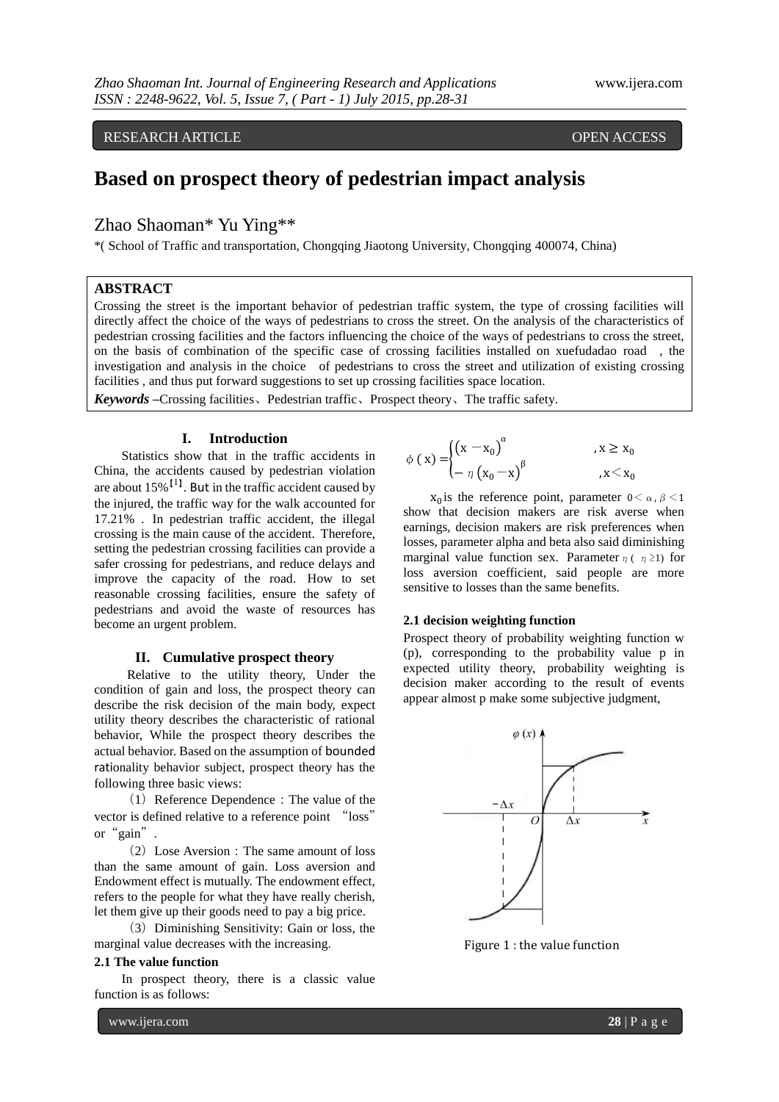# RESEARCH ARTICLE OPEN ACCESS

# **Based on prospect theory of pedestrian impact analysis**

# Zhao Shaoman\* Yu Ying\*\*

\*( School of Traffic and transportation, Chongqing Jiaotong University, Chongqing 400074, China)

### **ABSTRACT**

Crossing the street is the important behavior of pedestrian traffic system, the type of crossing facilities will directly affect the choice of the ways of pedestrians to cross the street. On the analysis of the characteristics of pedestrian crossing facilities and the factors influencing the choice of the ways of pedestrians to cross the street, on the basis of combination of the specific case of crossing facilities installed on xuefudadao road , the investigation and analysis in the choice of pedestrians to cross the street and utilization of existing crossing facilities , and thus put forward suggestions to set up crossing facilities space location.

*Keywords* **–**Crossing facilities、Pedestrian traffic、Prospect theory、The traffic safety.

#### **I. Introduction**

Statistics show that in the traffic accidents in China, the accidents caused by pedestrian violation are about  $15\%$ <sup>[1]</sup>. But in the traffic accident caused by the injured, the traffic way for the walk accounted for 17.21% . In pedestrian traffic accident, the illegal crossing is the main cause of the accident. Therefore, setting the pedestrian crossing facilities can provide a safer crossing for pedestrians, and reduce delays and improve the capacity of the road. How to set reasonable crossing facilities, ensure the safety of pedestrians and avoid the waste of resources has become an urgent problem.

## **II. Cumulative prospect theory**

Relative to the utility theory, Under the condition of gain and loss, the prospect theory can describe the risk decision of the main body, expect utility theory describes the characteristic of rational behavior, While the prospect theory describes the actual behavior. Based on the assumption of bounded rationality behavior subject, prospect theory has the following three basic views:

(1)Reference Dependence:The value of the vector is defined relative to a reference point "loss" or"gain".

(2) Lose Aversion: The same amount of loss than the same amount of gain. Loss aversion and Endowment effect is mutually. The endowment effect, refers to the people for what they have really cherish, let them give up their goods need to pay a big price.

(3) Diminishing Sensitivity: Gain or loss, the marginal value decreases with the increasing.

#### **2.1 The value function**

In prospect theory, there is a classic value function is as follows:

 $\phi(x) = \begin{cases} (x - x_0)^{\alpha} \end{cases}$ ,  $x \geq x_0$  $- \eta (x_0 - x)^{\beta}$  $x < x_0$ 

 $x_0$  is the reference point, parameter  $0 < \alpha$ ,  $\beta < 1$ show that decision makers are risk averse when earnings, decision makers are risk preferences when losses, parameter alpha and beta also said diminishing marginal value function sex. Parameter  $\eta(\eta \geq 1)$  for loss aversion coefficient, said people are more sensitive to losses than the same benefits.

#### **2.1 decision weighting function**

Prospect theory of probability weighting function w (p), corresponding to the probability value p in expected utility theory, probability weighting is decision maker according to the result of events appear almost p make some subjective judgment,



Figure 1 : the value function

www.ijera.com **28** | P a g e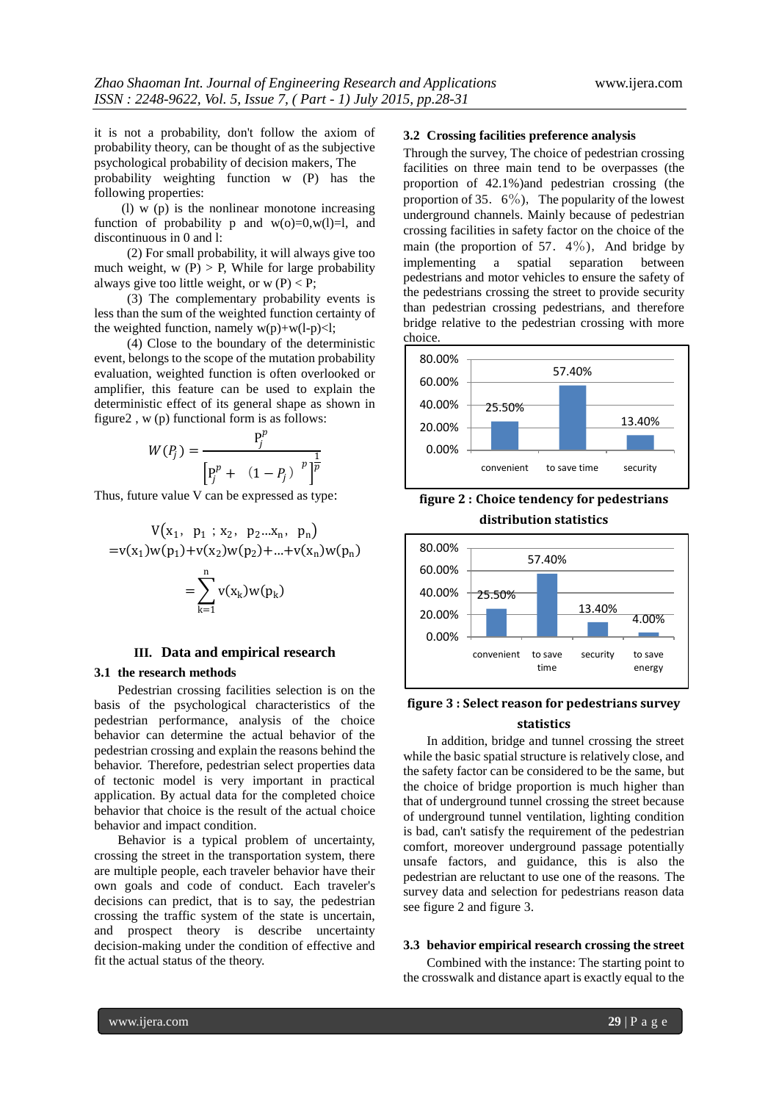it is not a probability, don't follow the axiom of probability theory, can be thought of as the subjective psychological probability of decision makers, The

probability weighting function w (P) has the following properties:

(1)  $\overline{w}$  (p) is the nonlinear monotone increasing function of probability p and  $w(0)=0, w(1)=1$ , and discontinuous in 0 and l:

(2) For small probability, it will always give too much weight,  $w(P) > P$ . While for large probability always give too little weight, or  $w(P) < P$ ;

(3) The complementary probability events is less than the sum of the weighted function certainty of the weighted function, namely  $w(p)+w(l-p)<1$ ;

(4) Close to the boundary of the deterministic event, belongs to the scope of the mutation probability evaluation, weighted function is often overlooked or amplifier, this feature can be used to explain the deterministic effect of its general shape as shown in figure2 , w (p) functional form is as follows:

$$
W(P_j) = \frac{P_j^p}{\left[ P_j^p + (1 - P_j)^{-p} \right]^{\frac{1}{p}}}
$$

Thus, future value V can be expressed as type:

$$
V(x_1, p_1 ; x_2, p_2...x_n, p_n)
$$
  
= $v(x_1)w(p_1)+v(x_2)w(p_2)+...+v(x_n)w(p_n)$   
=
$$
\sum_{k=1}^n v(x_k)w(p_k)
$$

#### **III. Data and empirical research**

#### **3.1 the research methods**

Pedestrian crossing facilities selection is on the basis of the psychological characteristics of the pedestrian performance, analysis of the choice behavior can determine the actual behavior of the pedestrian crossing and explain the reasons behind the behavior. Therefore, pedestrian select properties data of tectonic model is very important in practical application. By actual data for the completed choice behavior that choice is the result of the actual choice behavior and impact condition.

Behavior is a typical problem of uncertainty, crossing the street in the transportation system, there are multiple people, each traveler behavior have their own goals and code of conduct. Each traveler's decisions can predict, that is to say, the pedestrian crossing the traffic system of the state is uncertain, and prospect theory is describe uncertainty decision-making under the condition of effective and fit the actual status of the theory.

## **3.2 Crossing facilities preference analysis**

Through the survey, The choice of pedestrian crossing facilities on three main tend to be overpasses (the proportion of 42.1%)and pedestrian crossing (the proportion of 35.  $6\%$ ), The popularity of the lowest underground channels. Mainly because of pedestrian crossing facilities in safety factor on the choice of the main (the proportion of 57.  $4\%$ ), And bridge by implementing a spatial separation between pedestrians and motor vehicles to ensure the safety of the pedestrians crossing the street to provide security than pedestrian crossing pedestrians, and therefore bridge relative to the pedestrian crossing with more choice.



**figure 2 : Choice tendency for pedestrians distribution statistics**



# **figure 3 : Select reason for pedestrians survey statistics**

In addition, bridge and tunnel crossing the street while the basic spatial structure is relatively close, and the safety factor can be considered to be the same, but the choice of bridge proportion is much higher than that of underground tunnel crossing the street because of underground tunnel ventilation, lighting condition is bad, can't satisfy the requirement of the pedestrian comfort, moreover underground passage potentially unsafe factors, and guidance, this is also the pedestrian are reluctant to use one of the reasons. The survey data and selection for pedestrians reason data see figure 2 and figure 3.

#### **3.3 behavior empirical research crossing the street**

Combined with the instance: The starting point to the crosswalk and distance apart is exactly equal to the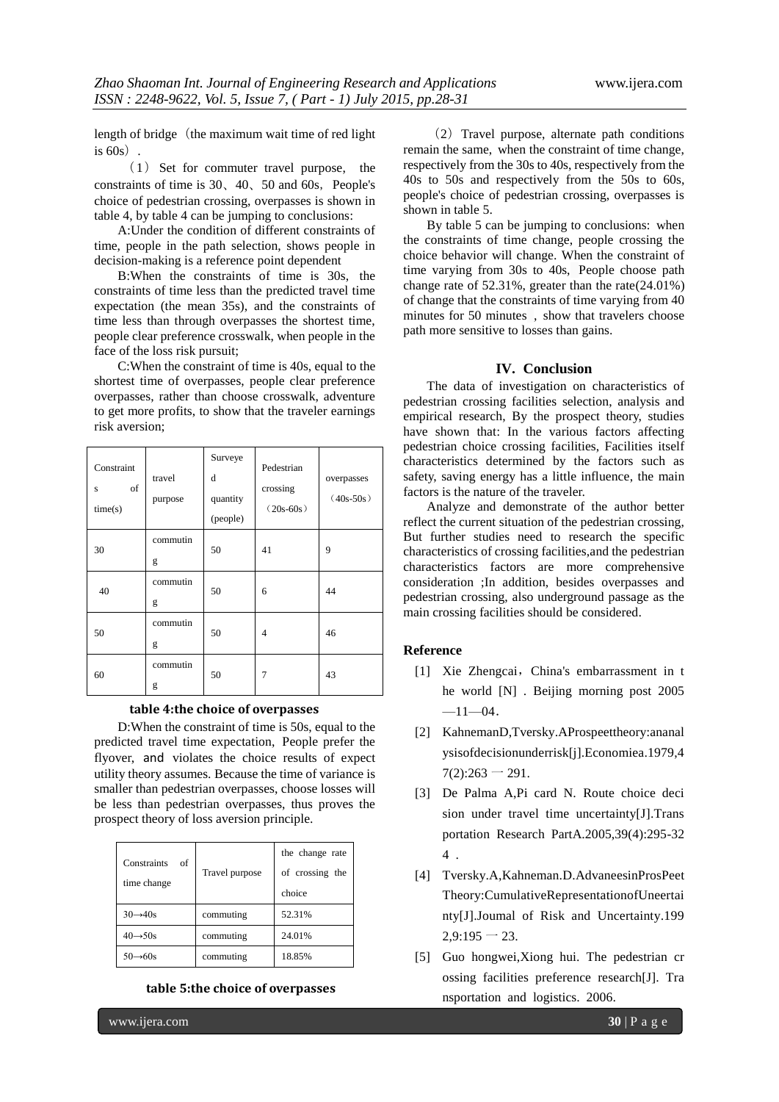length of bridge (the maximum wait time of red light) is  $60s$ .

 $(1)$  Set for commuter travel purpose, the constraints of time is  $30$ ,  $40$ ,  $50$  and  $60s$ , People's choice of pedestrian crossing, overpasses is shown in table 4, by table 4 can be jumping to conclusions:

A:Under the condition of different constraints of time, people in the path selection, shows people in decision-making is a reference point dependent

B:When the constraints of time is 30s, the constraints of time less than the predicted travel time expectation (the mean 35s), and the constraints of time less than through overpasses the shortest time, people clear preference crosswalk, when people in the face of the loss risk pursuit;

C:When the constraint of time is 40s, equal to the shortest time of overpasses, people clear preference overpasses, rather than choose crosswalk, adventure to get more profits, to show that the traveler earnings risk aversion;

| Constraint<br>of<br>S<br>time(s) | travel<br>purpose | Surveye<br>d<br>quantity<br>(people) | Pedestrian<br>crossing<br>$(20s-60s)$ | overpasses<br>$(40s-50s)$ |
|----------------------------------|-------------------|--------------------------------------|---------------------------------------|---------------------------|
| 30                               | commutin<br>g     | 50                                   | 41                                    | 9                         |
| 40                               | commutin<br>g     | 50                                   | 6                                     | 44                        |
| 50                               | commutin<br>g     | 50                                   | 4                                     | 46                        |
| 60                               | commutin<br>g     | 50                                   | 7                                     | 43                        |

## **table 4:the choice of overpasses**

D:When the constraint of time is 50s, equal to the predicted travel time expectation, People prefer the flyover, and violates the choice results of expect utility theory assumes. Because the time of variance is smaller than pedestrian overpasses, choose losses will be less than pedestrian overpasses, thus proves the prospect theory of loss aversion principle.

| Constraints<br>of<br>time change | Travel purpose | the change rate<br>of crossing the<br>choice |
|----------------------------------|----------------|----------------------------------------------|
| $30 \rightarrow 40s$             | commuting      | 52.31%                                       |
| $40 \rightarrow 50s$             | commuting      | 24.01%                                       |
| $50 \rightarrow 60s$             | commuting      | 18.85%                                       |

**table 5:the choice of overpasses** 

(2) Travel purpose, alternate path conditions remain the same, when the constraint of time change, respectively from the 30s to 40s, respectively from the 40s to 50s and respectively from the 50s to 60s, people's choice of pedestrian crossing, overpasses is shown in table 5.

By table 5 can be jumping to conclusions: when the constraints of time change, people crossing the choice behavior will change. When the constraint of time varying from 30s to 40s, People choose path change rate of 52.31%, greater than the rate(24.01%) of change that the constraints of time varying from 40 minutes for 50 minutes, show that travelers choose path more sensitive to losses than gains.

# **IV. Conclusion**

The data of investigation on characteristics of pedestrian crossing facilities selection, analysis and empirical research, By the prospect theory, studies have shown that: In the various factors affecting pedestrian choice crossing facilities, Facilities itself characteristics determined by the factors such as safety, saving energy has a little influence, the main factors is the nature of the traveler.

Analyze and demonstrate of the author better reflect the current situation of the pedestrian crossing, But further studies need to research the specific characteristics of crossing facilities,and the pedestrian characteristics factors are more comprehensive consideration ;In addition, besides overpasses and pedestrian crossing, also underground passage as the main crossing facilities should be considered.

## **Reference**

- [1] Xie Zhengcai, China's embarrassment in t he world [N] . Beijing morning post 2005  $-11-04$ .
- [2] KahnemanD,Tversky.AProspeettheory:ananal ysisofdecisionunderrisk[j].Economiea.1979,4  $7(2):263 - 291.$
- [3] De Palma A,Pi card N. Route choice deci sion under travel time uncertainty[J].Trans portation Research PartA.2005,39(4):295-32 4 .
- [4] Tversky.A,Kahneman.D.AdvaneesinProsPeet Theory:CumulativeRepresentationofUneertai nty[J].Joumal of Risk and Uncertainty.199  $2,9:195 - 23.$
- [5] Guo hongwei,Xiong hui. The pedestrian cr ossing facilities preference research[J]. Tra nsportation and logistics. 2006.